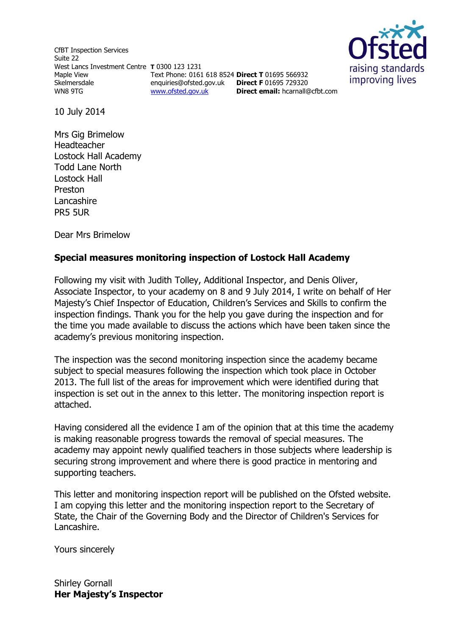CfBT Inspection Services Suite 22 West Lancs Investment Centre **T** 0300 123 1231 Maple View Skelmersdale WN8 9TG

Text Phone: 0161 618 8524 **Direct T** 01695 566932 enquiries@ofsted.gov.uk **Direct F** 01695 729320 [www.ofsted.gov.uk](http://www.ofsted.gov.uk/)

**Direct email:** [hcarnall@cfbt.com](../../sgornall/AppData/Local/Microsoft/sgornall/AppData/Local/Microsoft/Windows/AppData/Local/Temp/notesFCBCEE/hcarnall@cfbt.com)



10 July 2014

Mrs Gig Brimelow Headteacher Lostock Hall Academy Todd Lane North Lostock Hall Preston Lancashire PR5 5UR

Dear Mrs Brimelow

## **Special measures monitoring inspection of Lostock Hall Academy**

Following my visit with Judith Tolley, Additional Inspector, and Denis Oliver, Associate Inspector, to your academy on 8 and 9 July 2014, I write on behalf of Her Majesty's Chief Inspector of Education, Children's Services and Skills to confirm the inspection findings. Thank you for the help you gave during the inspection and for the time you made available to discuss the actions which have been taken since the academy's previous monitoring inspection.

The inspection was the second monitoring inspection since the academy became subject to special measures following the inspection which took place in October 2013. The full list of the areas for improvement which were identified during that inspection is set out in the annex to this letter. The monitoring inspection report is attached.

Having considered all the evidence I am of the opinion that at this time the academy is making reasonable progress towards the removal of special measures. The academy may appoint newly qualified teachers in those subjects where leadership is securing strong improvement and where there is good practice in mentoring and supporting teachers.

This letter and monitoring inspection report will be published on the Ofsted website. I am copying this letter and the monitoring inspection report to the Secretary of State, the Chair of the Governing Body and the Director of Children's Services for Lancashire.

Yours sincerely

Shirley Gornall **Her Majesty's Inspector**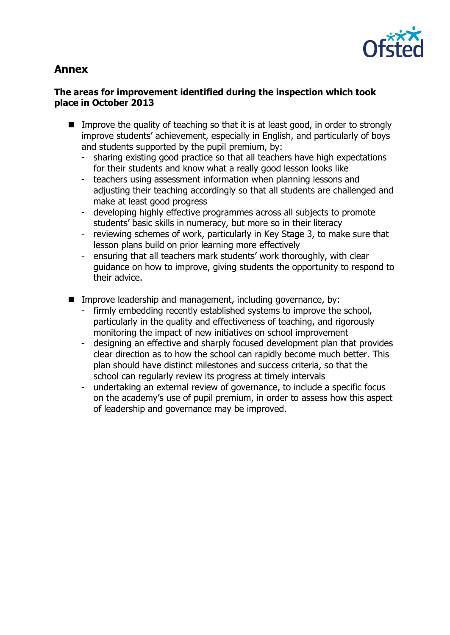

# **Annex**

## **The areas for improvement identified during the inspection which took place in October 2013**

- Improve the quality of teaching so that it is at least good, in order to strongly improve students' achievement, especially in English, and particularly of boys and students supported by the pupil premium, by:
	- sharing existing good practice so that all teachers have high expectations for their students and know what a really good lesson looks like
	- teachers using assessment information when planning lessons and adjusting their teaching accordingly so that all students are challenged and make at least good progress
	- developing highly effective programmes across all subjects to promote students' basic skills in numeracy, but more so in their literacy
	- reviewing schemes of work, particularly in Key Stage 3, to make sure that lesson plans build on prior learning more effectively
	- ensuring that all teachers mark students' work thoroughly, with clear guidance on how to improve, giving students the opportunity to respond to their advice.
- $\blacksquare$  Improve leadership and management, including governance, by:
	- firmly embedding recently established systems to improve the school, particularly in the quality and effectiveness of teaching, and rigorously monitoring the impact of new initiatives on school improvement
	- designing an effective and sharply focused development plan that provides clear direction as to how the school can rapidly become much better. This plan should have distinct milestones and success criteria, so that the school can regularly review its progress at timely intervals
	- undertaking an external review of governance, to include a specific focus on the academy's use of pupil premium, in order to assess how this aspect of leadership and governance may be improved.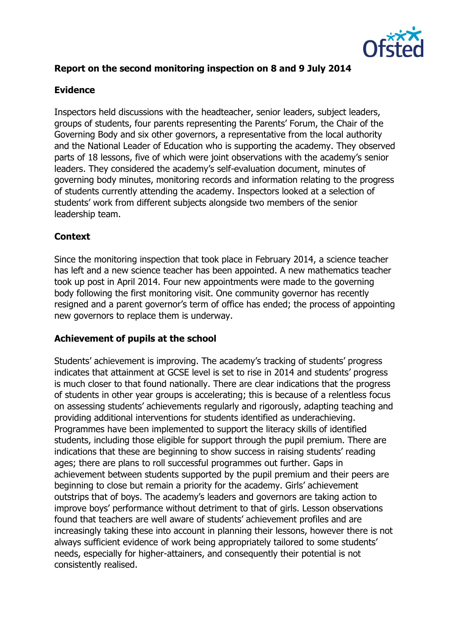

## **Report on the second monitoring inspection on 8 and 9 July 2014**

#### **Evidence**

Inspectors held discussions with the headteacher, senior leaders, subject leaders, groups of students, four parents representing the Parents' Forum, the Chair of the Governing Body and six other governors, a representative from the local authority and the National Leader of Education who is supporting the academy. They observed parts of 18 lessons, five of which were joint observations with the academy's senior leaders. They considered the academy's self-evaluation document, minutes of governing body minutes, monitoring records and information relating to the progress of students currently attending the academy. Inspectors looked at a selection of students' work from different subjects alongside two members of the senior leadership team.

#### **Context**

Since the monitoring inspection that took place in February 2014, a science teacher has left and a new science teacher has been appointed. A new mathematics teacher took up post in April 2014. Four new appointments were made to the governing body following the first monitoring visit. One community governor has recently resigned and a parent governor's term of office has ended; the process of appointing new governors to replace them is underway.

#### **Achievement of pupils at the school**

Students' achievement is improving. The academy's tracking of students' progress indicates that attainment at GCSE level is set to rise in 2014 and students' progress is much closer to that found nationally. There are clear indications that the progress of students in other year groups is accelerating; this is because of a relentless focus on assessing students' achievements regularly and rigorously, adapting teaching and providing additional interventions for students identified as underachieving. Programmes have been implemented to support the literacy skills of identified students, including those eligible for support through the pupil premium. There are indications that these are beginning to show success in raising students' reading ages; there are plans to roll successful programmes out further. Gaps in achievement between students supported by the pupil premium and their peers are beginning to close but remain a priority for the academy. Girls' achievement outstrips that of boys. The academy's leaders and governors are taking action to improve boys' performance without detriment to that of girls. Lesson observations found that teachers are well aware of students' achievement profiles and are increasingly taking these into account in planning their lessons, however there is not always sufficient evidence of work being appropriately tailored to some students' needs, especially for higher-attainers, and consequently their potential is not consistently realised.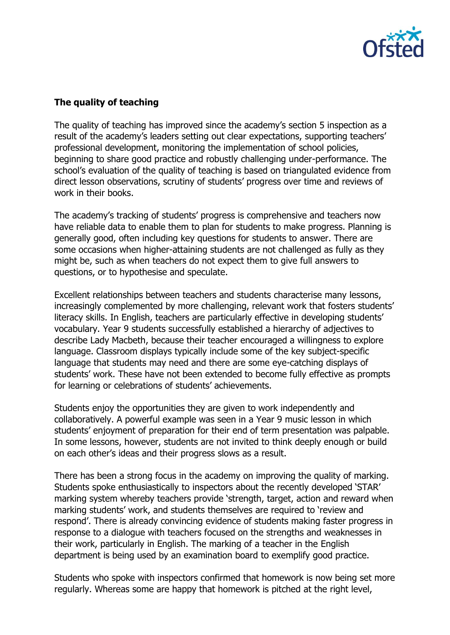

## **The quality of teaching**

The quality of teaching has improved since the academy's section 5 inspection as a result of the academy's leaders setting out clear expectations, supporting teachers' professional development, monitoring the implementation of school policies, beginning to share good practice and robustly challenging under-performance. The school's evaluation of the quality of teaching is based on triangulated evidence from direct lesson observations, scrutiny of students' progress over time and reviews of work in their books.

The academy's tracking of students' progress is comprehensive and teachers now have reliable data to enable them to plan for students to make progress. Planning is generally good, often including key questions for students to answer. There are some occasions when higher-attaining students are not challenged as fully as they might be, such as when teachers do not expect them to give full answers to questions, or to hypothesise and speculate.

Excellent relationships between teachers and students characterise many lessons, increasingly complemented by more challenging, relevant work that fosters students' literacy skills. In English, teachers are particularly effective in developing students' vocabulary. Year 9 students successfully established a hierarchy of adjectives to describe Lady Macbeth, because their teacher encouraged a willingness to explore language. Classroom displays typically include some of the key subject-specific language that students may need and there are some eye-catching displays of students' work. These have not been extended to become fully effective as prompts for learning or celebrations of students' achievements.

Students enjoy the opportunities they are given to work independently and collaboratively. A powerful example was seen in a Year 9 music lesson in which students' enjoyment of preparation for their end of term presentation was palpable. In some lessons, however, students are not invited to think deeply enough or build on each other's ideas and their progress slows as a result.

There has been a strong focus in the academy on improving the quality of marking. Students spoke enthusiastically to inspectors about the recently developed 'STAR' marking system whereby teachers provide 'strength, target, action and reward when marking students' work, and students themselves are required to 'review and respond'. There is already convincing evidence of students making faster progress in response to a dialogue with teachers focused on the strengths and weaknesses in their work, particularly in English. The marking of a teacher in the English department is being used by an examination board to exemplify good practice.

Students who spoke with inspectors confirmed that homework is now being set more regularly. Whereas some are happy that homework is pitched at the right level,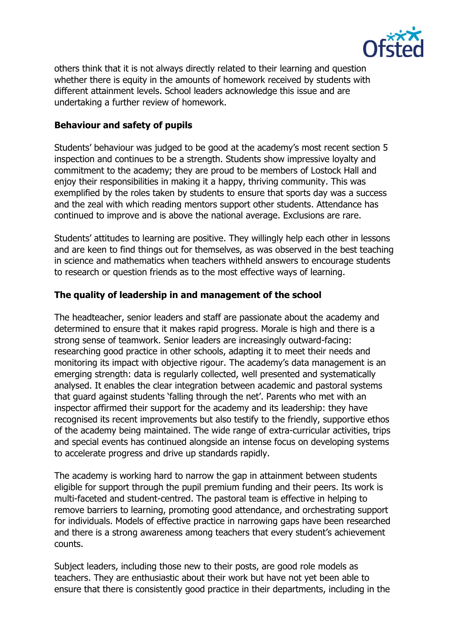

others think that it is not always directly related to their learning and question whether there is equity in the amounts of homework received by students with different attainment levels. School leaders acknowledge this issue and are undertaking a further review of homework.

#### **Behaviour and safety of pupils**

Students' behaviour was judged to be good at the academy's most recent section 5 inspection and continues to be a strength. Students show impressive loyalty and commitment to the academy; they are proud to be members of Lostock Hall and enjoy their responsibilities in making it a happy, thriving community. This was exemplified by the roles taken by students to ensure that sports day was a success and the zeal with which reading mentors support other students. Attendance has continued to improve and is above the national average. Exclusions are rare.

Students' attitudes to learning are positive. They willingly help each other in lessons and are keen to find things out for themselves, as was observed in the best teaching in science and mathematics when teachers withheld answers to encourage students to research or question friends as to the most effective ways of learning.

### **The quality of leadership in and management of the school**

The headteacher, senior leaders and staff are passionate about the academy and determined to ensure that it makes rapid progress. Morale is high and there is a strong sense of teamwork. Senior leaders are increasingly outward-facing: researching good practice in other schools, adapting it to meet their needs and monitoring its impact with objective rigour. The academy's data management is an emerging strength: data is regularly collected, well presented and systematically analysed. It enables the clear integration between academic and pastoral systems that guard against students 'falling through the net'. Parents who met with an inspector affirmed their support for the academy and its leadership: they have recognised its recent improvements but also testify to the friendly, supportive ethos of the academy being maintained. The wide range of extra-curricular activities, trips and special events has continued alongside an intense focus on developing systems to accelerate progress and drive up standards rapidly.

The academy is working hard to narrow the gap in attainment between students eligible for support through the pupil premium funding and their peers. Its work is multi-faceted and student-centred. The pastoral team is effective in helping to remove barriers to learning, promoting good attendance, and orchestrating support for individuals. Models of effective practice in narrowing gaps have been researched and there is a strong awareness among teachers that every student's achievement counts.

Subject leaders, including those new to their posts, are good role models as teachers. They are enthusiastic about their work but have not yet been able to ensure that there is consistently good practice in their departments, including in the